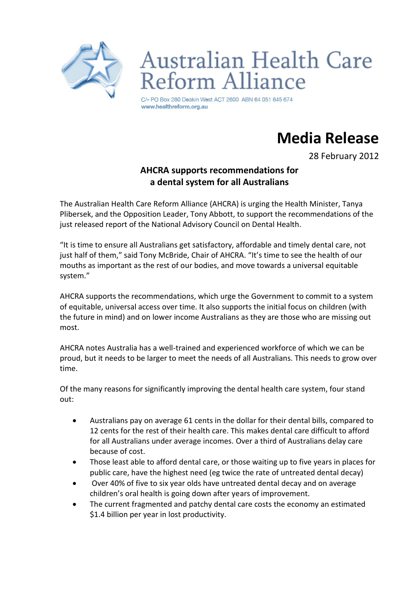

**Australian Health Care** Reform Alliance

C/- PO Box 280 Deakin West ACT 2600 ABN 64 051 645 674 www.healthreform.org.au

## **Media!Release**

28 February 2012

## **AHCRA supports recommendations for a!dental!system!for!all!Australians**

The Australian Health Care Reform Alliance (AHCRA) is urging the Health Minister, Tanya Plibersek, and the Opposition Leader, Tony Abbott, to support the recommendations of the just released report of the National Advisory Council on Dental Health.

"It is time to ensure all Australians get satisfactory, affordable and timely dental care, not just half of them," said Tony McBride, Chair of AHCRA. "It's time to see the health of our mouths as important as the rest of our bodies, and move towards a universal equitable system."

AHCRA supports the recommendations, which urge the Government to commit to a system of equitable, universal access over time. It also supports the initial focus on children (with the future in mind) and on lower income Australians as they are those who are missing out most.

AHCRA notes Australia has a well-trained and experienced workforce of which we can be proud, but it needs to be larger to meet the needs of all Australians. This needs to grow over time.

Of the many reasons for significantly improving the dental health care system, four stand out:

- Australians pay on average 61 cents in the dollar for their dental bills, compared to 12 cents for the rest of their health care. This makes dental care difficult to afford for all Australians under average incomes. Over a third of Australians delay care because of cost.
- Those least able to afford dental care, or those waiting up to five years in places for public care, have the highest need (eg twice the rate of untreated dental decay)
- Over 40% of five to six year olds have untreated dental decay and on average children's oral health is going down after years of improvement.
- The current fragmented and patchy dental care costs the economy an estimated \$1.4 billion per year in lost productivity.